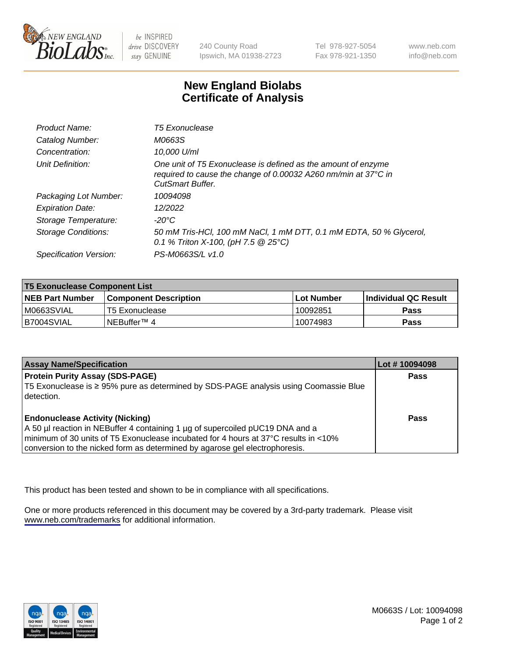

be INSPIRED drive DISCOVERY stay GENUINE

240 County Road Ipswich, MA 01938-2723 Tel 978-927-5054 Fax 978-921-1350

www.neb.com info@neb.com

## **New England Biolabs Certificate of Analysis**

| Product Name:              | <b>T5 Exonuclease</b>                                                                                                                                      |
|----------------------------|------------------------------------------------------------------------------------------------------------------------------------------------------------|
| Catalog Number:            | M0663S                                                                                                                                                     |
| Concentration:             | 10,000 U/ml                                                                                                                                                |
| Unit Definition:           | One unit of T5 Exonuclease is defined as the amount of enzyme<br>required to cause the change of 0.00032 A260 nm/min at 37°C in<br><b>CutSmart Buffer.</b> |
| Packaging Lot Number:      | 10094098                                                                                                                                                   |
| <b>Expiration Date:</b>    | 12/2022                                                                                                                                                    |
| Storage Temperature:       | -20°C                                                                                                                                                      |
| <b>Storage Conditions:</b> | 50 mM Tris-HCl, 100 mM NaCl, 1 mM DTT, 0.1 mM EDTA, 50 % Glycerol,<br>0.1 % Triton X-100, (pH 7.5 $@25°C$ )                                                |
| Specification Version:     | PS-M0663S/L v1.0                                                                                                                                           |

| <b>T5 Exonuclease Component List</b> |                         |             |                             |  |
|--------------------------------------|-------------------------|-------------|-----------------------------|--|
| <b>NEB Part Number</b>               | l Component Description | ⊺Lot Number | <b>Individual QC Result</b> |  |
| IM0663SVIAL                          | T5 Exonuclease          | 10092851    | <b>Pass</b>                 |  |
| IB7004SVIAL                          | l NEBuffer™ 4∶          | 10074983    | <b>Pass</b>                 |  |

| <b>Assay Name/Specification</b>                                                                                                                                                                                                                                                               | Lot # 10094098 |
|-----------------------------------------------------------------------------------------------------------------------------------------------------------------------------------------------------------------------------------------------------------------------------------------------|----------------|
| <b>Protein Purity Assay (SDS-PAGE)</b><br>T5 Exonuclease is ≥ 95% pure as determined by SDS-PAGE analysis using Coomassie Blue<br>I detection.                                                                                                                                                | <b>Pass</b>    |
| <b>Endonuclease Activity (Nicking)</b><br>A 50 µl reaction in NEBuffer 4 containing 1 µg of supercoiled pUC19 DNA and a<br>minimum of 30 units of T5 Exonuclease incubated for 4 hours at 37°C results in <10%<br>conversion to the nicked form as determined by agarose gel electrophoresis. | Pass           |

This product has been tested and shown to be in compliance with all specifications.

One or more products referenced in this document may be covered by a 3rd-party trademark. Please visit <www.neb.com/trademarks>for additional information.